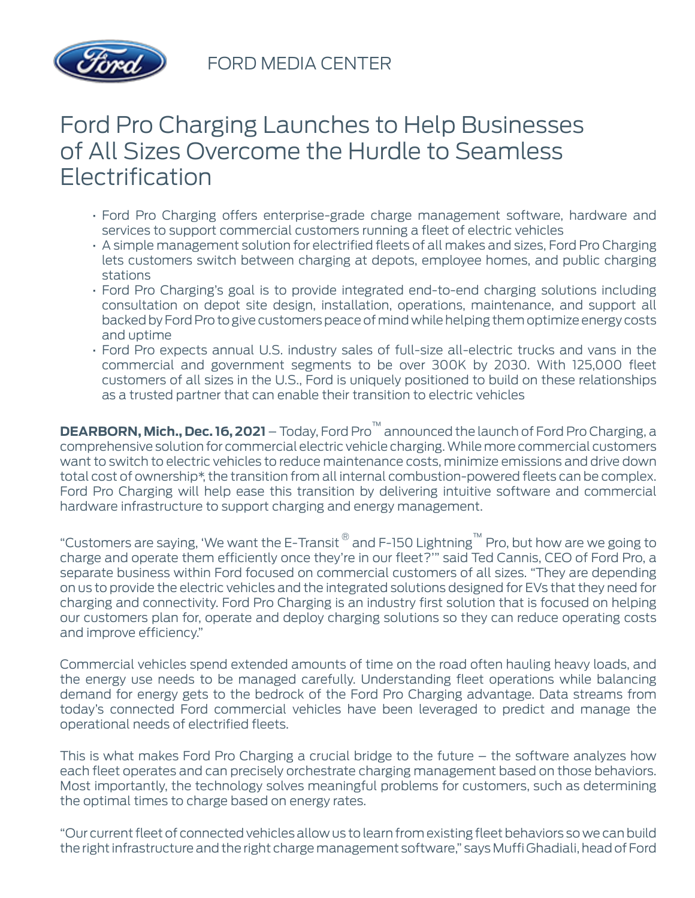

## Ford Pro Charging Launches to Help Businesses of All Sizes Overcome the Hurdle to Seamless Electrification

- Ford Pro Charging offers enterprise-grade charge management software, hardware and services to support commercial customers running a fleet of electric vehicles
- A simple management solution for electrified fleets of all makes and sizes, Ford Pro Charging lets customers switch between charging at depots, employee homes, and public charging stations
- Ford Pro Charging's goal is to provide integrated end-to-end charging solutions including consultation on depot site design, installation, operations, maintenance, and support all backed by Ford Pro to give customers peace of mind while helping them optimize energy costs and uptime
- Ford Pro expects annual U.S. industry sales of full-size all-electric trucks and vans in the commercial and government segments to be over 300K by 2030. With 125,000 fleet customers of all sizes in the U.S., Ford is uniquely positioned to build on these relationships as a trusted partner that can enable their transition to electric vehicles

**DEARBORN, Mich., Dec. 16, 2021** – Today, Ford Pro™ announced the launch of Ford Pro Charging, a comprehensive solution for commercial electric vehicle charging. While more commercial customers want to switch to electric vehicles to reduce maintenance costs, minimize emissions and drive down total cost of ownership\*, the transition from all internal combustion-powered fleets can be complex. Ford Pro Charging will help ease this transition by delivering intuitive software and commercial hardware infrastructure to support charging and energy management.

"Customers are saying, 'We want the E-Transit ® and F-150 Lightning™ Pro, but how are we going to charge and operate them efficiently once they're in our fleet?'" said Ted Cannis, CEO of Ford Pro, a separate business within Ford focused on commercial customers of all sizes. "They are depending on us to provide the electric vehicles and the integrated solutions designed for EVs that they need for charging and connectivity. Ford Pro Charging is an industry first solution that is focused on helping our customers plan for, operate and deploy charging solutions so they can reduce operating costs and improve efficiency."

Commercial vehicles spend extended amounts of time on the road often hauling heavy loads, and the energy use needs to be managed carefully. Understanding fleet operations while balancing demand for energy gets to the bedrock of the Ford Pro Charging advantage. Data streams from today's connected Ford commercial vehicles have been leveraged to predict and manage the operational needs of electrified fleets.

This is what makes Ford Pro Charging a crucial bridge to the future – the software analyzes how each fleet operates and can precisely orchestrate charging management based on those behaviors. Most importantly, the technology solves meaningful problems for customers, such as determining the optimal times to charge based on energy rates.

"Our current fleet of connected vehicles allow us to learn from existing fleet behaviors so we can build the right infrastructure and the right charge management software," says Muffi Ghadiali, head of Ford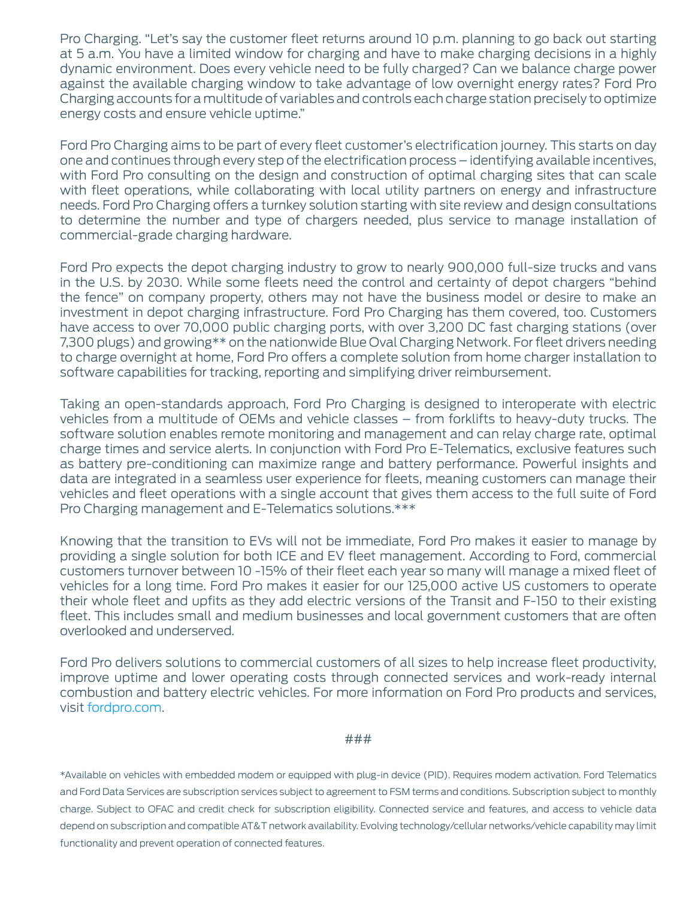Pro Charging. "Let's say the customer fleet returns around 10 p.m. planning to go back out starting at 5 a.m. You have a limited window for charging and have to make charging decisions in a highly dynamic environment. Does every vehicle need to be fully charged? Can we balance charge power against the available charging window to take advantage of low overnight energy rates? Ford Pro Charging accounts for a multitude of variables and controls each charge station precisely to optimize energy costs and ensure vehicle uptime."

Ford Pro Charging aims to be part of every fleet customer's electrification journey. This starts on day one and continues through every step of the electrification process – identifying available incentives, with Ford Pro consulting on the design and construction of optimal charging sites that can scale with fleet operations, while collaborating with local utility partners on energy and infrastructure needs. Ford Pro Charging offers a turnkey solution starting with site review and design consultations to determine the number and type of chargers needed, plus service to manage installation of commercial-grade charging hardware.

Ford Pro expects the depot charging industry to grow to nearly 900,000 full-size trucks and vans in the U.S. by 2030. While some fleets need the control and certainty of depot chargers "behind the fence" on company property, others may not have the business model or desire to make an investment in depot charging infrastructure. Ford Pro Charging has them covered, too. Customers have access to over 70,000 public charging ports, with over 3,200 DC fast charging stations (over 7,300 plugs) and growing\*\* on the nationwide Blue Oval Charging Network. For fleet drivers needing to charge overnight at home, Ford Pro offers a complete solution from home charger installation to software capabilities for tracking, reporting and simplifying driver reimbursement.

Taking an open-standards approach, Ford Pro Charging is designed to interoperate with electric vehicles from a multitude of OEMs and vehicle classes – from forklifts to heavy-duty trucks. The software solution enables remote monitoring and management and can relay charge rate, optimal charge times and service alerts. In conjunction with Ford Pro E-Telematics, exclusive features such as battery pre-conditioning can maximize range and battery performance. Powerful insights and data are integrated in a seamless user experience for fleets, meaning customers can manage their vehicles and fleet operations with a single account that gives them access to the full suite of Ford Pro Charging management and E-Telematics solutions.\*\*\*

Knowing that the transition to EVs will not be immediate, Ford Pro makes it easier to manage by providing a single solution for both ICE and EV fleet management. According to Ford, commercial customers turnover between 10 -15% of their fleet each year so many will manage a mixed fleet of vehicles for a long time. Ford Pro makes it easier for our 125,000 active US customers to operate their whole fleet and upfits as they add electric versions of the Transit and F-150 to their existing fleet. This includes small and medium businesses and local government customers that are often overlooked and underserved.

Ford Pro delivers solutions to commercial customers of all sizes to help increase fleet productivity, improve uptime and lower operating costs through connected services and work-ready internal combustion and battery electric vehicles. For more information on Ford Pro products and services, visit [fordpro.com](https://pro.ford.com/en-us/).

## ###

\*Available on vehicles with embedded modem or equipped with plug-in device (PID). Requires modem activation. Ford Telematics and Ford Data Services are subscription services subject to agreement to FSM terms and conditions. Subscription subject to monthly charge. Subject to OFAC and credit check for subscription eligibility. Connected service and features, and access to vehicle data depend on subscription and compatible AT&T network availability. Evolving technology/cellular networks/vehicle capability may limit functionality and prevent operation of connected features.